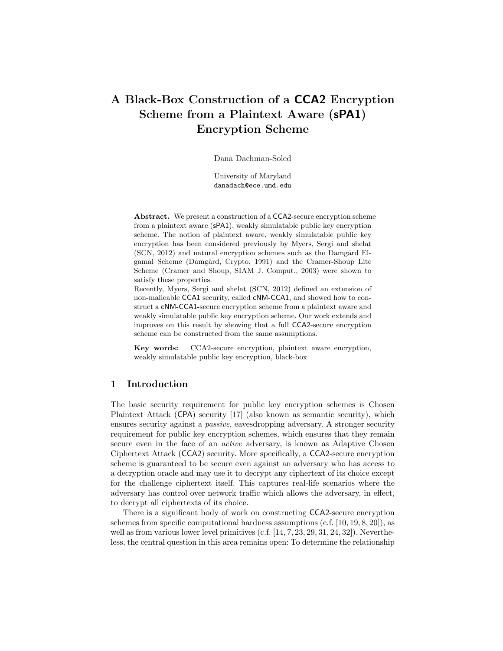# A Black-Box Construction of a CCA2 Encryption Scheme from a Plaintext Aware (sPA1) Encryption Scheme

Dana Dachman-Soled

University of Maryland danadach@ece.umd.edu

Abstract. We present a construction of a CCA2-secure encryption scheme from a plaintext aware (sPA1), weakly simulatable public key encryption scheme. The notion of plaintext aware, weakly simulatable public key encryption has been considered previously by Myers, Sergi and shelat  $(SCN, 2012)$  and natural encryption schemes such as the Damgård Elgamal Scheme (Damgård, Crypto, 1991) and the Cramer-Shoup Lite Scheme (Cramer and Shoup, SIAM J. Comput., 2003) were shown to satisfy these properties.

Recently, Myers, Sergi and shelat (SCN, 2012) defined an extension of non-malleable CCA1 security, called cNM-CCA1, and showed how to construct a cNM-CCA1-secure encryption scheme from a plaintext aware and weakly simulatable public key encryption scheme. Our work extends and improves on this result by showing that a full CCA2-secure encryption scheme can be constructed from the same assumptions.

Key words: CCA2-secure encryption, plaintext aware encryption, weakly simulatable public key encryption, black-box

# 1 Introduction

The basic security requirement for public key encryption schemes is Chosen Plaintext Attack (CPA) security [17] (also known as semantic security), which ensures security against a passive, eavesdropping adversary. A stronger security requirement for public key encryption schemes, which ensures that they remain secure even in the face of an active adversary, is known as Adaptive Chosen Ciphertext Attack (CCA2) security. More specifically, a CCA2-secure encryption scheme is guaranteed to be secure even against an adversary who has access to a decryption oracle and may use it to decrypt any ciphertext of its choice except for the challenge ciphertext itself. This captures real-life scenarios where the adversary has control over network traffic which allows the adversary, in effect, to decrypt all ciphertexts of its choice.

There is a significant body of work on constructing CCA2-secure encryption schemes from specific computational hardness assumptions  $(c.f. [10, 19, 8, 20])$ , as well as from various lower level primitives (c.f. [14, 7, 23, 29, 31, 24, 32]). Nevertheless, the central question in this area remains open: To determine the relationship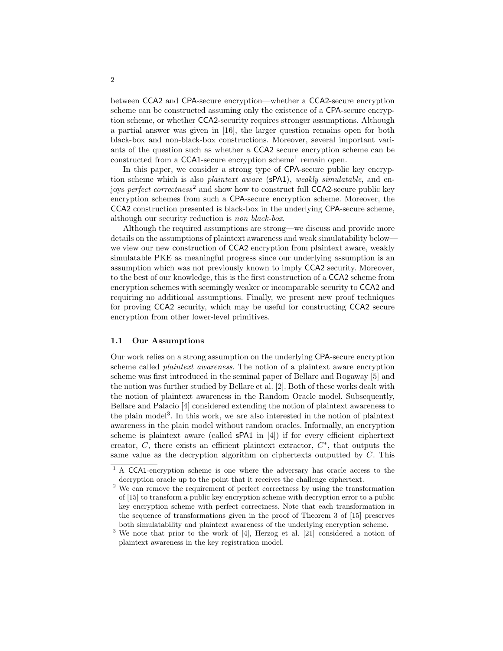between CCA2 and CPA-secure encryption—whether a CCA2-secure encryption scheme can be constructed assuming only the existence of a CPA-secure encryption scheme, or whether CCA2-security requires stronger assumptions. Although a partial answer was given in [16], the larger question remains open for both black-box and non-black-box constructions. Moreover, several important variants of the question such as whether a CCA2 secure encryption scheme can be constructed from a CCA1-secure encryption scheme<sup>1</sup> remain open.

In this paper, we consider a strong type of CPA-secure public key encryption scheme which is also *plaintext aware* (sPA1), *weakly simulatable*, and enjoys perfect correctness<sup>2</sup> and show how to construct full CCA2-secure public key encryption schemes from such a CPA-secure encryption scheme. Moreover, the CCA2 construction presented is black-box in the underlying CPA-secure scheme, although our security reduction is non black-box.

Although the required assumptions are strong—we discuss and provide more details on the assumptions of plaintext awareness and weak simulatability below we view our new construction of CCA2 encryption from plaintext aware, weakly simulatable PKE as meaningful progress since our underlying assumption is an assumption which was not previously known to imply CCA2 security. Moreover, to the best of our knowledge, this is the first construction of a CCA2 scheme from encryption schemes with seemingly weaker or incomparable security to CCA2 and requiring no additional assumptions. Finally, we present new proof techniques for proving CCA2 security, which may be useful for constructing CCA2 secure encryption from other lower-level primitives.

#### 1.1 Our Assumptions

Our work relies on a strong assumption on the underlying CPA-secure encryption scheme called *plaintext awareness*. The notion of a plaintext aware encryption scheme was first introduced in the seminal paper of Bellare and Rogaway [5] and the notion was further studied by Bellare et al. [2]. Both of these works dealt with the notion of plaintext awareness in the Random Oracle model. Subsequently, Bellare and Palacio [4] considered extending the notion of plaintext awareness to the plain model<sup>3</sup>. In this work, we are also interested in the notion of plaintext awareness in the plain model without random oracles. Informally, an encryption scheme is plaintext aware (called sPA1 in [4]) if for every efficient ciphertext creator,  $C$ , there exists an efficient plaintext extractor,  $C^*$ , that outputs the same value as the decryption algorithm on ciphertexts outputted by C. This

<sup>&</sup>lt;sup>1</sup> A CCA1-encryption scheme is one where the adversary has oracle access to the decryption oracle up to the point that it receives the challenge ciphertext.

<sup>&</sup>lt;sup>2</sup> We can remove the requirement of perfect correctness by using the transformation of [15] to transform a public key encryption scheme with decryption error to a public key encryption scheme with perfect correctness. Note that each transformation in the sequence of transformations given in the proof of Theorem 3 of [15] preserves both simulatability and plaintext awareness of the underlying encryption scheme.

<sup>&</sup>lt;sup>3</sup> We note that prior to the work of [4], Herzog et al. [21] considered a notion of plaintext awareness in the key registration model.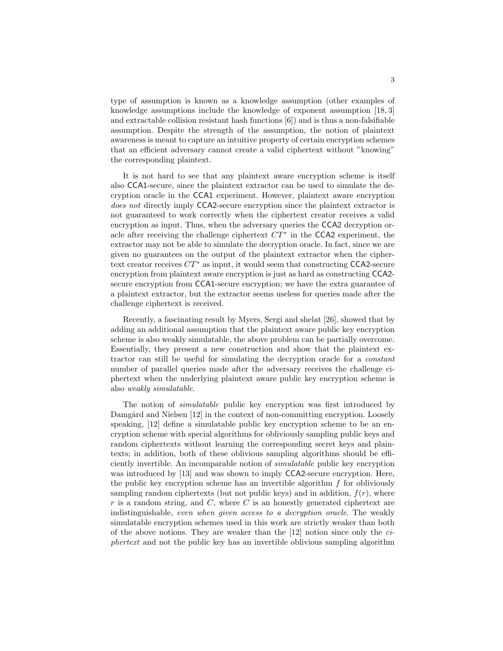type of assumption is known as a knowledge assumption (other examples of knowledge assumptions include the knowledge of exponent assumption [18, 3] and extractable collision resistant hash functions [6]) and is thus a non-falsifiable assumption. Despite the strength of the assumption, the notion of plaintext awareness is meant to capture an intuitive property of certain encryption schemes that an efficient adversary cannot create a valid ciphertext without "knowing" the corresponding plaintext.

It is not hard to see that any plaintext aware encryption scheme is itself also CCA1-secure, since the plaintext extractor can be used to simulate the decryption oracle in the CCA1 experiment. However, plaintext aware encryption does not directly imply CCA2-secure encryption since the plaintext extractor is not guaranteed to work correctly when the ciphertext creator receives a valid encryption as input. Thus, when the adversary queries the CCA2 decryption oracle after receiving the challenge ciphertext  $CT^*$  in the CCA2 experiment, the extractor may not be able to simulate the decryption oracle. In fact, since we are given no guarantees on the output of the plaintext extractor when the ciphertext creator receives  $CT^*$  as input, it would seem that constructing CCA2-secure encryption from plaintext aware encryption is just as hard as constructing CCA2 secure encryption from CCA1-secure encryption; we have the extra guarantee of a plaintext extractor, but the extractor seems useless for queries made after the challenge ciphertext is received.

Recently, a fascinating result by Myers, Sergi and shelat [26], showed that by adding an additional assumption that the plaintext aware public key encryption scheme is also weakly simulatable, the above problem can be partially overcome. Essentially, they present a new construction and show that the plaintext extractor can still be useful for simulating the decryption oracle for a constant number of parallel queries made after the adversary receives the challenge ciphertext when the underlying plaintext aware public key encryption scheme is also weakly simulatable.

The notion of simulatable public key encryption was first introduced by Damgård and Nielsen [12] in the context of non-committing encryption. Loosely speaking, [12] define a simulatable public key encryption scheme to be an encryption scheme with special algorithms for obliviously sampling public keys and random ciphertexts without learning the corresponding secret keys and plaintexts; in addition, both of these oblivious sampling algorithms should be efficiently invertible. An incomparable notion of simulatable public key encryption was introduced by [13] and was shown to imply CCA2-secure encryption. Here, the public key encryption scheme has an invertible algorithm  $f$  for obliviously sampling random ciphertexts (but not public keys) and in addition,  $f(r)$ , where  $r$  is a random string, and  $C$ , where  $C$  is an honestly generated ciphertext are indistinguishable, even when given access to a decryption oracle. The weakly simulatable encryption schemes used in this work are strictly weaker than both of the above notions. They are weaker than the [12] notion since only the ciphertext and not the public key has an invertible oblivious sampling algorithm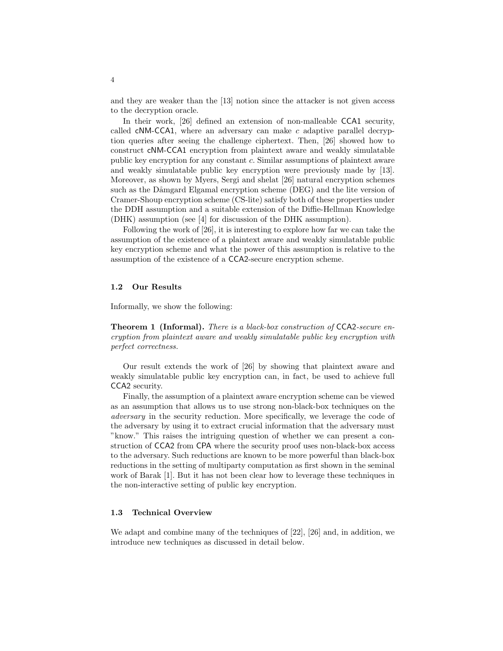and they are weaker than the [13] notion since the attacker is not given access to the decryption oracle.

In their work, [26] defined an extension of non-malleable **CCA1** security, called  $cNM$ -CCA1, where an adversary can make  $c$  adaptive parallel decryption queries after seeing the challenge ciphertext. Then, [26] showed how to construct cNM-CCA1 encryption from plaintext aware and weakly simulatable public key encryption for any constant c. Similar assumptions of plaintext aware and weakly simulatable public key encryption were previously made by [13]. Moreover, as shown by Myers, Sergi and shelat [26] natural encryption schemes such as the Dåmgard Elgamal encryption scheme (DEG) and the lite version of Cramer-Shoup encryption scheme (CS-lite) satisfy both of these properties under the DDH assumption and a suitable extension of the Diffie-Hellman Knowledge (DHK) assumption (see [4] for discussion of the DHK assumption).

Following the work of [26], it is interesting to explore how far we can take the assumption of the existence of a plaintext aware and weakly simulatable public key encryption scheme and what the power of this assumption is relative to the assumption of the existence of a CCA2-secure encryption scheme.

#### 1.2 Our Results

Informally, we show the following:

**Theorem 1 (Informal).** There is a black-box construction of CCA2-secure encryption from plaintext aware and weakly simulatable public key encryption with perfect correctness.

Our result extends the work of [26] by showing that plaintext aware and weakly simulatable public key encryption can, in fact, be used to achieve full CCA2 security.

Finally, the assumption of a plaintext aware encryption scheme can be viewed as an assumption that allows us to use strong non-black-box techniques on the adversary in the security reduction. More specifically, we leverage the code of the adversary by using it to extract crucial information that the adversary must "know." This raises the intriguing question of whether we can present a construction of CCA2 from CPA where the security proof uses non-black-box access to the adversary. Such reductions are known to be more powerful than black-box reductions in the setting of multiparty computation as first shown in the seminal work of Barak [1]. But it has not been clear how to leverage these techniques in the non-interactive setting of public key encryption.

#### 1.3 Technical Overview

We adapt and combine many of the techniques of [22], [26] and, in addition, we introduce new techniques as discussed in detail below.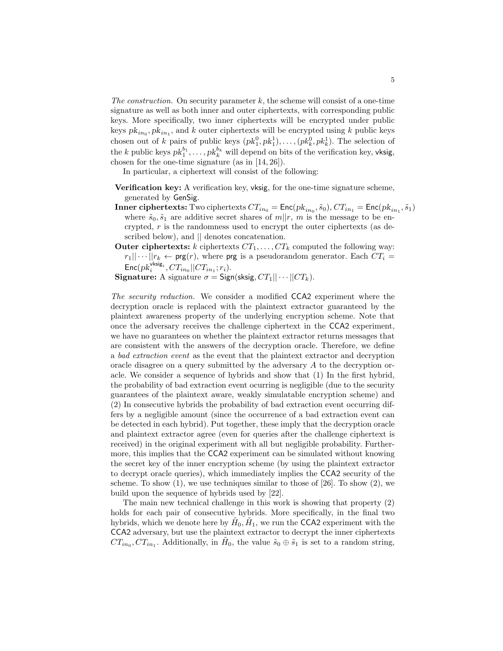The construction. On security parameter  $k$ , the scheme will consist of a one-time signature as well as both inner and outer ciphertexts, with corresponding public keys. More specifically, two inner ciphertexts will be encrypted under public keys  $pk_{in_0}, pk_{in_1}$ , and k outer ciphertexts will be encrypted using k public keys chosen out of k pairs of public keys  $(pk_1^0, pk_1^1), \ldots, (pk_k^0, pk_k^1)$ . The selection of the k public keys  $pk_1^{b_1}, \ldots, pk_k^{b_k}$  will depend on bits of the verification key, vksig, chosen for the one-time signature (as in [14, 26]).

In particular, a ciphertext will consist of the following:

- Verification key: A verification key, vksig, for the one-time signature scheme, generated by GenSig.
- **Inner ciphertexts:** Two ciphertexts  $CT_{in_0} = \text{Enc}(pk_{in_0}, \tilde{s}_0), CT_{in_1} = \text{Enc}(pk_{in_1}, \tilde{s}_1)$ where  $\tilde{s}_0, \tilde{s}_1$  are additive secret shares of  $m||r, m$  is the message to be encrypted, r is the randomness used to encrypt the outer ciphertexts (as described below), and  $\parallel$  denotes concatenation.
- Outer ciphertexts:  $k$  ciphertexts  $CT_1, \ldots, CT_k$  computed the following way:  $r_1|| \cdots ||r_k \leftarrow \text{prg}(r)$ , where  $\text{prg}$  is a pseudorandom generator. Each  $CT_i$  =  $\mathsf{Enc}(pk_i^{\mathsf{vksig}_i}, CT_{in_0} || CT_{in_1}; r_i).$

**Signature:** A signature  $\sigma =$  Sign(sksig,  $CT_1 || \cdots ||CT_k$ ).

The security reduction. We consider a modified CCA2 experiment where the decryption oracle is replaced with the plaintext extractor guaranteed by the plaintext awareness property of the underlying encryption scheme. Note that once the adversary receives the challenge ciphertext in the CCA2 experiment, we have no guarantees on whether the plaintext extractor returns messages that are consistent with the answers of the decryption oracle. Therefore, we define a bad extraction event as the event that the plaintext extractor and decryption oracle disagree on a query submitted by the adversary A to the decryption oracle. We consider a sequence of hybrids and show that (1) In the first hybrid, the probability of bad extraction event ocurring is negligible (due to the security guarantees of the plaintext aware, weakly simulatable encryption scheme) and (2) In consecutive hybrids the probability of bad extraction event occurring differs by a negligible amount (since the occurrence of a bad extraction event can be detected in each hybrid). Put together, these imply that the decryption oracle and plaintext extractor agree (even for queries after the challenge ciphertext is received) in the original experiment with all but negligible probability. Furthermore, this implies that the CCA2 experiment can be simulated without knowing the secret key of the inner encryption scheme (by using the plaintext extractor to decrypt oracle queries), which immediately implies the CCA2 security of the scheme. To show  $(1)$ , we use techniques similar to those of  $[26]$ . To show  $(2)$ , we build upon the sequence of hybrids used by [22].

The main new technical challenge in this work is showing that property (2) holds for each pair of consecutive hybrids. More specifically, in the final two hybrids, which we denote here by  $\tilde{H}_0$ ,  $\tilde{H}_1$ , we run the CCA2 experiment with the CCA2 adversary, but use the plaintext extractor to decrypt the inner ciphertexts  $CT_{in_0}, CT_{in_1}$ . Additionally, in  $\tilde{H}_0$ , the value  $\tilde{s}_0 \oplus \tilde{s}_1$  is set to a random string,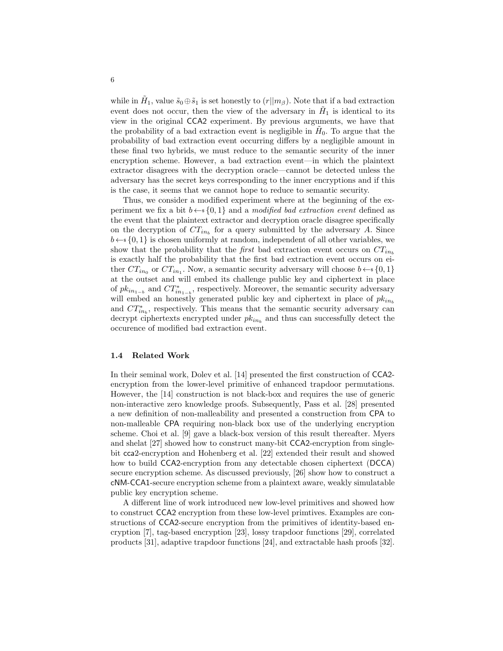while in  $\tilde{H}_1$ , value  $\tilde{s}_0 \oplus \tilde{s}_1$  is set honestly to  $(r||m_\beta)$ . Note that if a bad extraction event does not occur, then the view of the adversary in  $H_1$  is identical to its view in the original CCA2 experiment. By previous arguments, we have that the probability of a bad extraction event is negligible in  $H_0$ . To argue that the probability of bad extraction event occurring differs by a negligible amount in these final two hybrids, we must reduce to the semantic security of the inner encryption scheme. However, a bad extraction event—in which the plaintext extractor disagrees with the decryption oracle—cannot be detected unless the adversary has the secret keys corresponding to the inner encryptions and if this is the case, it seems that we cannot hope to reduce to semantic security.

Thus, we consider a modified experiment where at the beginning of the experiment we fix a bit  $b \leftarrow s \{0, 1\}$  and a *modified bad extraction event* defined as the event that the plaintext extractor and decryption oracle disagree specifically on the decryption of  $CT_{in_b}$  for a query submitted by the adversary A. Since  $b \leftarrow \{0, 1\}$  is chosen uniformly at random, independent of all other variables, we show that the probability that the *first* bad extraction event occurs on  $CT_{in_b}$ is exactly half the probability that the first bad extraction event occurs on either  $CT_{in_0}$  or  $CT_{in_1}$ . Now, a semantic security adversary will choose  $b \leftarrow s \{0, 1\}$ at the outset and will embed its challenge public key and ciphertext in place of  $pk_{in_{1-b}}$  and  $CT_{in_{1-b}}^*$ , respectively. Moreover, the semantic security adversary will embed an honestly generated public key and ciphertext in place of  $pk_{inb}$ and  $CT_{in_b}^*$ , respectively. This means that the semantic security adversary can decrypt ciphertexts encrypted under  $pk_{in_b}$  and thus can successfully detect the occurence of modified bad extraction event.

#### 1.4 Related Work

In their seminal work, Dolev et al. [14] presented the first construction of CCA2 encryption from the lower-level primitive of enhanced trapdoor permutations. However, the [14] construction is not black-box and requires the use of generic non-interactive zero knowledge proofs. Subsequently, Pass et al. [28] presented a new definition of non-malleability and presented a construction from CPA to non-malleable CPA requiring non-black box use of the underlying encryption scheme. Choi et al. [9] gave a black-box version of this result thereafter. Myers and shelat [27] showed how to construct many-bit CCA2-encryption from singlebit cca2-encryption and Hohenberg et al. [22] extended their result and showed how to build CCA2-encryption from any detectable chosen ciphertext (DCCA) secure encryption scheme. As discussed previously, [26] show how to construct a cNM-CCA1-secure encryption scheme from a plaintext aware, weakly simulatable public key encryption scheme.

A different line of work introduced new low-level primitives and showed how to construct CCA2 encryption from these low-level primtives. Examples are constructions of CCA2-secure encryption from the primitives of identity-based encryption [7], tag-based encryption [23], lossy trapdoor functions [29], correlated products [31], adaptive trapdoor functions [24], and extractable hash proofs [32].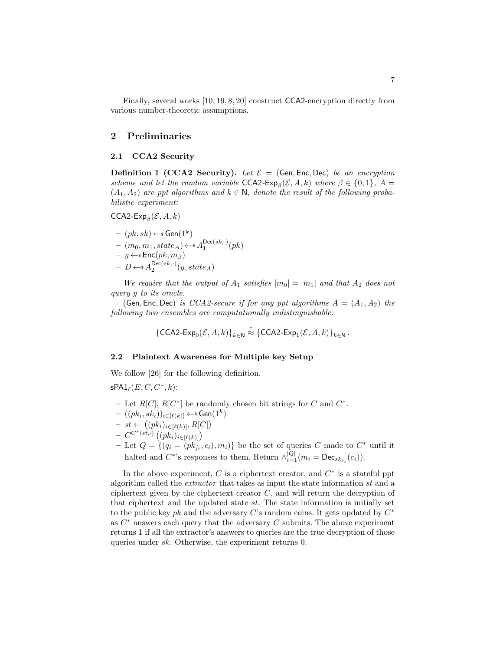Finally, several works [10, 19, 8, 20] construct CCA2-encryption directly from various number-theoretic assumptions.

## 2 Preliminaries

### 2.1 CCA2 Security

**Definition 1 (CCA2 Security).** Let  $\mathcal{E} =$  (Gen, Enc, Dec) be an encryption scheme and let the random variable  $CCA2$ - $Exp_\beta(\mathcal{E}, A, k)$  where  $\beta \in \{0, 1\}$ ,  $A =$  $(A_1, A_2)$  are ppt algorithms and  $k \in \mathbb{N}$ , denote the result of the following probabilistic experiment:

 $\mathsf{CCA2\text{-}Exp}_{\beta}(\mathcal{E}, A, k)$ 

– (pk, sk) ←\$ Gen(1<sup>k</sup> ) – (m0, m1, stateA) ←\$ A Dec(sk,·) 1 (pk) – y ←\$ Enc(pk, mβ) – D ←\$ A Dec(sk,·) 2 (y, stateA)

We require that the output of  $A_1$  satisfies  $|m_0| = |m_1|$  and that  $A_2$  does not query y to its oracle.

(Gen, Enc, Dec) is CCA2-secure if for any ppt algorithms  $A = (A_1, A_2)$  the following two ensembles are computationally indistinguishable:

$$
\{\mathsf{CCA2-Exp}_0(\mathcal{E}, A, k)\}_{k \in \mathbb{N}} \stackrel{c}{\approx} \{\mathsf{CCA2-Exp}_1(\mathcal{E}, A, k)\}_{k \in \mathbb{N}}.
$$

#### 2.2 Plaintext Awareness for Multiple key Setup

We follow [26] for the following definition.

 $\mathsf{sPA1}_\ell(E, C, C^*, k)$ :

- Let  $R[C], R[C^*]$  be randomly chosen bit strings for C and  $C^*$ .
- $\; ((pk_i, sk_i))_{i \in [\ell(k)]} \leftarrow \mathsf{sGen}(1^k)$
- $st \leftarrow ((pk_i)_{i \in [\ell(k)]}, R[C])$
- $C^{C^*(st,\cdot)} \left( (p k_i)_{i \in [\ell(k)]} \right)$
- Let  $Q = \{(q_i = (pk_{j_i}^r, c_i), m_i)\}\$ be the set of queries C made to  $C^*$  until it halted and  $C^*$ 's responses to them. Return  $\wedge_{i=1}^{|Q|} (m_i = \text{Dec}_{sk_{j_i}}(c_i)).$

In the above experiment,  $C$  is a ciphertext creator, and  $C^*$  is a stateful ppt algorithm called the extractor that takes as input the state information st and a ciphertext given by the ciphertext creator  $C$ , and will return the decryption of that ciphertext and the updated state  $st$ . The state information is initially set to the public key pk and the adversary C's random coins. It gets updated by  $C^*$ as  $C^*$  answers each query that the adversary  $C$  submits. The above experiment returns 1 if all the extractor's answers to queries are the true decryption of those queries under sk. Otherwise, the experiment returns 0.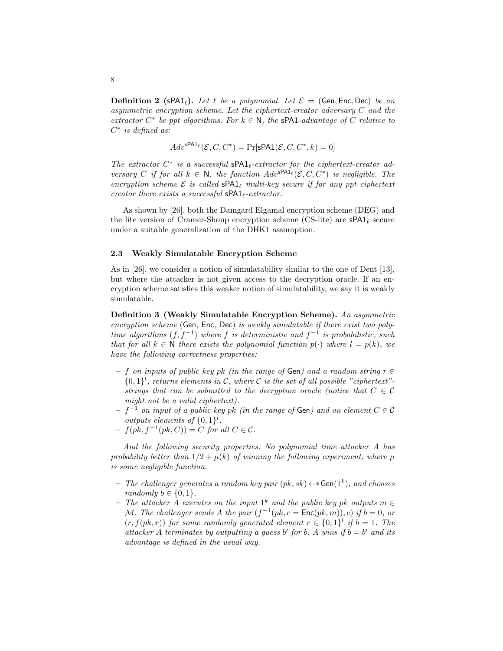**Definition 2** (sPA1<sub>l</sub>). Let  $\ell$  be a polynomial. Let  $\mathcal{E} =$  (Gen, Enc, Dec) be an asymmetric encryption scheme. Let the ciphertext-creator adversary C and the extractor  $C^*$  be ppt algorithms. For  $k \in \mathbb{N}$ , the sPA1-advantage of C relative to  $C^*$  is defined as:

$$
Adv^{\mathsf{sPA1}_{\ell}}(\mathcal{E}, C, C^*) = \Pr[\mathsf{sPA1}(\mathcal{E}, C, C^*, k) = 0]
$$

The extractor  $C^*$  is a successful  $\text{SPA1}_\ell$ -extractor for the ciphertext-creator adversary C if for all  $k \in \mathbb{N}$ , the function  $Adv^{\text{SPA1}_{\ell}}(\mathcal{E}, C, C^*)$  is negligible. The encryption scheme  $\mathcal E$  is called  $\text{SPA1}_\ell$  multi-key secure if for any ppt ciphertext creator there exists a successful  $\text{SPA1}_\ell$ -extractor.

As shown by [26], both the Damgard Elgamal encryption scheme (DEG) and the lite version of Cramer-Shoup encryption scheme (CS-lite) are  $\mathsf{sPA1}_\ell$  secure under a suitable generalization of the DHK1 assumption.

#### 2.3 Weakly Simulatable Encryption Scheme

As in [26], we consider a notion of simulatability similar to the one of Dent [13], but where the attacker is not given access to the decryption oracle. If an encryption scheme satisfies this weaker notion of simulatability, we say it is weakly simulatable.

Definition 3 (Weakly Simulatable Encryption Scheme). An asymmetric encryption scheme (Gen, Enc, Dec) is weakly simulatable if there exist two polytime algorithms  $(f, f^{-1})$  where f is deterministic and  $f^{-1}$  is probabilistic, such that for all  $k \in \mathbb{N}$  there exists the polynomial function  $p(\cdot)$  where  $l = p(k)$ , we have the following correctness properties:

- $-$  f on inputs of public key pk (in the range of Gen) and a random string  $r \in$  ${0,1}^l$ , returns elements in C, where C is the set of all possible "ciphertext"strings that can be submitted to the decryption oracle (notice that  $C \in \mathcal{C}$ might not be a valid ciphertext).
- $-f^{-1}$  on input of a public key pk (in the range of Gen) and an element  $C \in \mathcal{C}$ outputs elements of  $\{0,1\}^l$ .
- $-f(pk, f^{-1}(pk, C)) = C$  for all  $C \in \mathcal{C}$ .

And the following security properties. No polynomial time attacker A has probability better than  $1/2 + \mu(k)$  of winning the following experiment, where  $\mu$ is some negligible function.

- The challenger generates a random key pair  $(pk, sk) \leftarrow s$  Gen $(1^k)$ , and chooses randomly  $b \in \{0, 1\}$ .
- − The attacker A executes on the input  $1^k$  and the public key pk outputs m ∈ M. The challenger sends A the pair  $(f^{-1}(pk, c = \text{Enc}(pk, m)), c)$  if  $b = 0$ , or  $(r, f(pk, r))$  for some randomly generated element  $r \in \{0, 1\}^l$  if  $b = 1$ . The attacker A terminates by outputting a guess b' for b. A wins if  $b = b'$  and its advantage is defined in the usual way.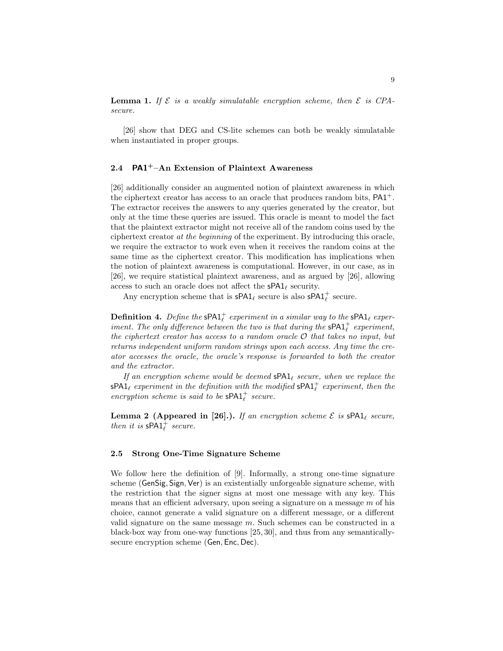**Lemma 1.** If  $\mathcal{E}$  is a weakly simulatable encryption scheme, then  $\mathcal{E}$  is CPAsecure.

[26] show that DEG and CS-lite schemes can both be weakly simulatable when instantiated in proper groups.

# 2.4 PA1<sup>+</sup> $-An$  Extension of Plaintext Awareness

[26] additionally consider an augmented notion of plaintext awareness in which the ciphertext creator has access to an oracle that produces random bits,  $PA1<sup>+</sup>$ . The extractor receives the answers to any queries generated by the creator, but only at the time these queries are issued. This oracle is meant to model the fact that the plaintext extractor might not receive all of the random coins used by the ciphertext creator at the beginning of the experiment. By introducing this oracle, we require the extractor to work even when it receives the random coins at the same time as the ciphertext creator. This modification has implications when the notion of plaintext awareness is computational. However, in our case, as in [26], we require statistical plaintext awareness, and as argued by [26], allowing access to such an oracle does not affect the  $\mathsf{sPA1}_\ell$  security.

Any encryption scheme that is  $\mathsf{sPA1}_\ell$  secure is also  $\mathsf{sPA1}_\ell^+$  secure.

**Definition 4.** Define the  $\mathsf{sPA1}_\ell^+$  experiment in a similar way to the  $\mathsf{sPA1}_\ell$  experiment. The only difference between the two is that during the  $\textsf{sPA1}^+_\ell$  experiment, the ciphertext creator has access to a random oracle O that takes no input, but returns independent uniform random strings upon each access. Any time the creator accesses the oracle, the oracle's response is forwarded to both the creator and the extractor.

If an encryption scheme would be deemed  $\text{SPA1}_\ell$  secure, when we replace the  $\mathsf{sPA1}_\ell$  experiment in the definition with the modified  $\mathsf{sPA1}_\ell^+$  experiment, then the encryption scheme is said to be  $\textsf{sPA1}^+_\ell$  secure.

**Lemma 2 (Appeared in [26].).** If an encryption scheme  $\mathcal{E}$  is  $\mathsf{SPA1}_\ell$  secure, then it is  $\mathsf{SPA1}^+_\ell$  secure.

### 2.5 Strong One-Time Signature Scheme

We follow here the definition of [9]. Informally, a strong one-time signature scheme (GenSig, Sign, Ver) is an existentially unforgeable signature scheme, with the restriction that the signer signs at most one message with any key. This means that an efficient adversary, upon seeing a signature on a message  $m$  of his choice, cannot generate a valid signature on a different message, or a different valid signature on the same message m. Such schemes can be constructed in a black-box way from one-way functions [25, 30], and thus from any semanticallysecure encryption scheme (Gen, Enc, Dec).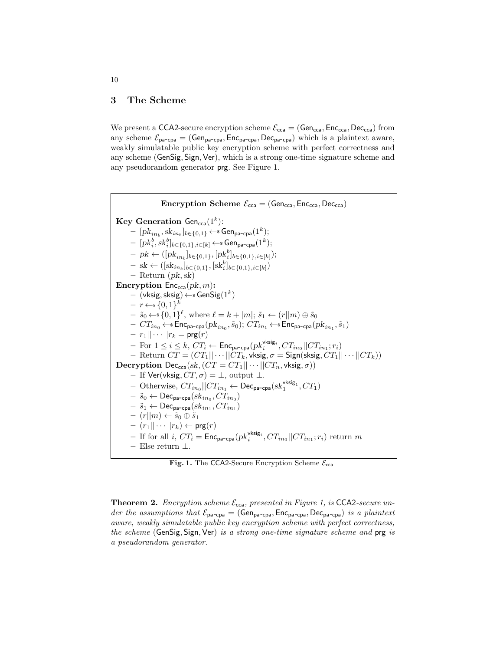### 3 The Scheme

We present a CCA2-secure encryption scheme  $\mathcal{E}_{cca} = (Gen_{cca}, Enc_{cca}, Dec_{cca})$  from any scheme  $\mathcal{E}_{pa-cpa} = (Gen_{pa-cpa}, Enc_{pa-cpa}, Dec_{pa-cpa})$  which is a plaintext aware, weakly simulatable public key encryption scheme with perfect correctness and any scheme (GenSig, Sign, Ver), which is a strong one-time signature scheme and any pseudorandom generator prg. See Figure 1.

```
Encryption Scheme \mathcal{E}_{cca} = (Gen_{cca}, Enc_{cca}, Dec_{cca})\rm\thinspace Key Generation Gen_{\rm cca}(1^k):
 -\ [pk_{in_b}, sk_{in_b}]_{b \in \{0,1\}} \leftarrows Gen<sub>pa-cpa</sub>(1^k);-\ [pk_i^b, sk_i^b]_{b\in \{0,1\}, i\in [k]} \leftarrows Gen<sub>pa-cpa</sub>(1^k);- pk \leftarrow ([pk_{in_b}]_{b \in \{0,1\}}, [pk_i^b]_{b \in \{0,1\}, i \in [k]});
 - sk \leftarrow ([sk_{in_b}]_{b \in \{0,1\}}, [sk_i^b]_{b \in \{0,1\}, i \in [k]}\right)- Return (pk, sk)Encryption Enc_{cca}(pk, m):
 - (\mathsf{vksig}, \mathsf{sksig}) \!\leftarrow\!\! \ast \mathsf{GenSig}(1^k)-r \leftarrow \{0,1\}^k- \tilde{s}_0 \leftarrow \{0,1\}^{\ell}, \text{ where } \ell = k + |m|; \tilde{s}_1 \leftarrow (r||m) \oplus \tilde{s}_0- \,\, CT_{in_0} \!\leftarrow \!\! \ast \mathsf{Enc}_{\mathsf{pa}\text{-}\mathsf{cpa}}(pk_{in_0}, \tilde{s}_0); \, CT_{in_1} \!\leftarrow \!\! \ast \mathsf{Enc}_{\mathsf{pa}\text{-}\mathsf{cpa}}(pk_{in_1}, \tilde{s}_1)- r_1 || \cdots || r_k = \text{prg}(r)- For 1 \leq i \leq k, CT_i \leftarrow \mathsf{Enc}_{\mathsf{pa-cpa}}(pk_i^{\mathsf{vksig}_i}, CT_{in_0}||CT_{in_1}; r_i)– Return CT = (CT_1 || \cdots ||CT_k, \text{vksig}, \sigma = \text{Sign}(\text{sksig}, CT_1 || \cdots ||CT_k))Decryption Dec<sub>cca</sub>(sk, (CT = CT_1 || \cdots ||CT_n, \text{vksig}, \sigma))
– If Ver(vksig, CT, σ) = ⊥, output ⊥.
 - Otherwise, CT_{in_0}||CT_{in_1} \leftarrow \mathsf{Dec}_{\mathsf{pa-cpa}}(sk_1^{\mathsf{vksig}_1},CT_1)- \tilde{s}_0 \leftarrow \mathsf{Dec}_{\mathsf{pa}\text{-}\mathsf{cpa}}(sk_{in_0},CT_{in_0})- \tilde{s}_1 \leftarrow \mathsf{Dec}_{\mathsf{pa}\text{-}\mathsf{cpa}}(sk_{in_1},CT_{in_1})- (r||m) \leftarrow \tilde{s}_0 \oplus \tilde{s}_1- (r_1|| \cdots || r_k) \leftarrow \text{prg}(r)- If for all i, CT_i = \mathsf{Enc}_{\mathsf{pa-cpa}}(pk_i^{\mathsf{vksig}_i}, CT_{in_0}||CT_{in_1}; r_i) return m– Else return ⊥.
```
Fig. 1. The CCA2-Secure Encryption Scheme  $\mathcal{E}_{cca}$ 

**Theorem 2.** Encryption scheme  $\mathcal{E}_{cca}$ , presented in Figure 1, is CCA2-secure under the assumptions that  $\mathcal{E}_{pa-cpa} = (Gen_{pa-cpa}, Enc_{pa-cpa}, Dec_{pa-cpa})$  is a plaintext aware, weakly simulatable public key encryption scheme with perfect correctness, the scheme (GenSig, Sign, Ver) is a strong one-time signature scheme and prg is a pseudorandom generator.

10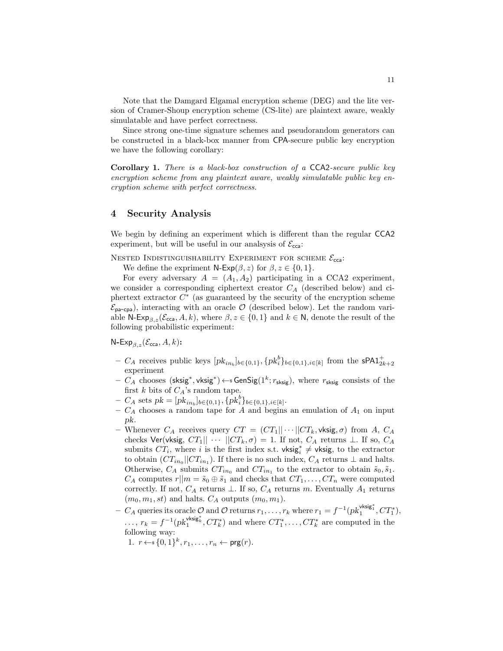Note that the Damgard Elgamal encryption scheme (DEG) and the lite version of Cramer-Shoup encryption scheme (CS-lite) are plaintext aware, weakly simulatable and have perfect correctness.

Since strong one-time signature schemes and pseudorandom generators can be constructed in a black-box manner from CPA-secure public key encryption we have the following corollary:

Corollary 1. There is a black-box construction of a CCA2-secure public key encryption scheme from any plaintext aware, weakly simulatable public key encryption scheme with perfect correctness.

# 4 Security Analysis

We begin by defining an experiment which is different than the regular CCA2 experiment, but will be useful in our analsysis of  $\mathcal{E}_{cca}$ :

NESTED INDISTINGUISHABILITY EXPERIMENT FOR SCHEME  $\mathcal{E}_{cca}$ :

We define the expriment  $N$ -Exp( $\beta$ , z) for  $\beta$ ,  $z \in \{0, 1\}$ .

For every adversary  $A = (A_1, A_2)$  participating in a CCA2 experiment, we consider a corresponding ciphertext creator  $C_A$  (described below) and ciphertext extractor  $C^*$  (as guaranteed by the security of the encryption scheme  $\mathcal{E}_{\text{pa-cpa}}$ ), interacting with an oracle  $\mathcal{O}$  (described below). Let the random variable N-Exp<sub>β,z</sub>( $\mathcal{E}_{cca}$ , A, k), where  $\beta$ , z imes {0, 1} and  $k \in \mathbb{N}$ , denote the result of the following probabilistic experiment:

N-Exp<sub> $\beta$ ,z</sub>( $\mathcal{E}_{\text{cca}}, A, k$ ):

- C<sub>A</sub> receives public keys  $[pk_{in_b}]_{b \in \{0,1\}}, \{pk_i^b\}_{b \in \{0,1\}, i \in [k]}$  from the sPA1<sup>+</sup><sub>2k+2</sub> experiment
- $C_A$  chooses (sksig<sup>\*</sup>, vksig<sup>\*</sup>) ← SenSig(1<sup>k</sup>;  $r_{\text{sksig}}$ ), where  $r_{\text{sksig}}$  consists of the first k bits of  $C_A$ 's random tape.
- $-C_A$  sets  $pk = [pk_{in_b}]_{b \in \{0,1\}}, \{pk_i^b\}_{b \in \{0,1\}, i \in [k]}.$
- $C_A$  chooses a random tape for A and begins an emulation of  $A_1$  on input pk.
- Whenever  $C_A$  receives query  $CT = (CT_1 || \cdots || CT_k, \mathsf{vksig}, \sigma)$  from A,  $C_A$ checks Ver(vksig,  $CT_1|| \cdots ||CT_k, \sigma) = 1$ . If not,  $C_A$  returns  $\perp$ . If so,  $C_A$ submits  $CT_i$ , where i is the first index s.t. vksig<sub>i</sub><sup>\*</sup> ≠ vksig, to the extractor to obtain  $(CT_{in_0}||CT_{in_1})$ . If there is no such index,  $C_A$  returns  $\perp$  and halts. Otherwise,  $C_A$  submits  $CT_{in_0}$  and  $CT_{in_1}$  to the extractor to obtain  $\tilde{s}_0, \tilde{s}_1$ .  $C_A$  computes  $r||m = \tilde{s}_0 \oplus \tilde{s}_1$  and checks that  $CT_1, \ldots, CT_n$  were computed correctly. If not,  $C_A$  returns  $\perp$ . If so,  $C_A$  returns m. Eventually  $A_1$  returns  $(m_0, m_1, st)$  and halts.  $C_A$  outputs  $(m_0, m_1)$ .
- $-C_A$  queries its oracle  $\mathcal O$  and  $\mathcal O$  returns  $r_1,\ldots,r_k$  where  $r_1=f^{-1}(pk_1^{\text{visig}_1^*},CT_1^*),$  $\ldots, r_k = f^{-1}(pk_1^{\text{visig}_k}, CT_k^*)$  and where  $CT_1^*, \ldots, CT_k^*$  are computed in the following way:
	- 1.  $r \leftarrow s \{0,1\}^k, r_1, \ldots, r_n \leftarrow \text{prg}(r)$ .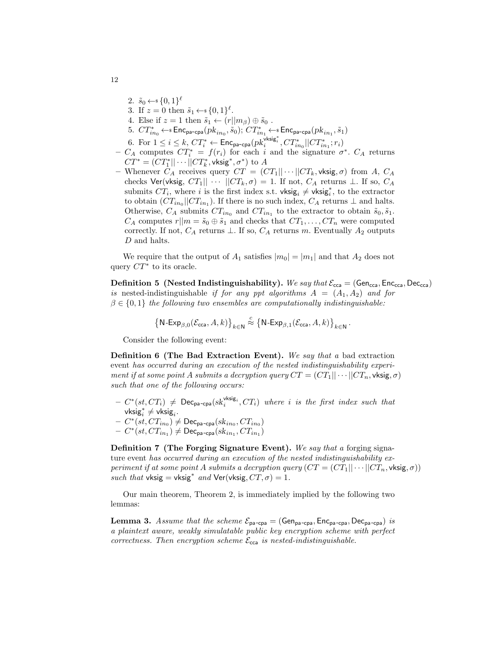- 2.  $\tilde{s}_0 \leftarrow \{0,1\}^{\ell}$
- 3. If  $z = 0$  then  $\tilde{s}_1 \leftarrow \{0, 1\}^{\ell}$ .
- 4. Else if  $z = 1$  then  $\tilde{s}_1 \leftarrow (r||m_\beta) \oplus \tilde{s}_0$ .
- $5. \,\, CT^*_{in_0} \leftarrow \,\, \texttt{Enc}_{\texttt{pa-cpa}}(pk_{in_0}, \tilde{s}_0) ; \, CT^*_{in_1} \leftarrow \,\, \texttt{Enc}_{\texttt{pa-cpa}}(pk_{in_1}, \tilde{s}_1)$
- 6. For  $1 \leq i \leq k$ ,  $CT_i^* \leftarrow \mathsf{Enc}_{\mathsf{pa-cpa}}(pk_i^{\mathsf{vksig}_i^*}, CT_{in_0}^*||CT_{in_1}^*; r_i)$
- $-C_A$  computes  $CT_i^* = f(r_i)$  for each i and the signature  $\sigma^*$ .  $C_A$  returns  $CT^*=(CT^*_1||\cdots||CT^*_k,\mathsf{visig}^*,\sigma^*)$  to  $A$
- Whenever  $C_A$  receives query  $CT = (CT_1 || \cdots || CT_k, \mathsf{vksig}, \sigma)$  from A,  $C_A$ checks Ver(vksig,  $CT_1|| \cdots ||CT_k, \sigma) = 1$ . If not,  $C_A$  returns  $\perp$ . If so,  $C_A$ submits  $CT_i$ , where i is the first index s.t. vksig<sub>i</sub>  $\neq$  vksig<sup>\*</sup>, to the extractor to obtain  $(CT_{in_0}||CT_{in_1})$ . If there is no such index,  $C_A$  returns  $\perp$  and halts. Otherwise,  $C_A$  submits  $CT_{in_0}$  and  $CT_{in_1}$  to the extractor to obtain  $\tilde{s}_0, \tilde{s}_1$ .  $C_A$  computes  $r||m = \tilde{s}_0 \oplus \tilde{s}_1$  and checks that  $CT_1, \ldots, CT_n$  were computed correctly. If not,  $C_A$  returns  $\perp$ . If so,  $C_A$  returns m. Eventually  $A_2$  outputs D and halts.

We require that the output of  $A_1$  satisfies  $|m_0| = |m_1|$  and that  $A_2$  does not query  $CT^*$  to its oracle.

**Definition 5** (Nested Indistinguishability). We say that  $\mathcal{E}_{\text{cca}} = (\text{Gen}_{\text{cca}}, \text{Enc}_{\text{cca}})$ is nested-indistinguishable if for any ppt algorithms  $A = (A_1, A_2)$  and for  $\beta \in \{0,1\}$  the following two ensembles are computationally indistinguishable:

$$
\big\{{\sf N}\text{-}{\sf Exp}_{\beta,0}(\mathcal{E}_{\text{cca}},A,k)\big\}_{k\in\mathbb{N}}\stackrel{c}{\approx}\big\{{\sf N}\text{-}{\sf Exp}_{\beta,1}(\mathcal{E}_{\text{cca}},A,k)\big\}_{k\in\mathbb{N}}\,.
$$

Consider the following event:

Definition 6 (The Bad Extraction Event). We say that a bad extraction event has occurred during an execution of the nested indistinguishability experiment if at some point A submits a decryption query  $CT = (CT_1 || \cdots ||CT_n, \mathsf{vksig}, \sigma)$ such that one of the following occurs:

- $C^*(st, CT_i) \neq \text{Dec}_{pa-cpa}(sk_i^{vksig_i}, CT_i)$  where i is the first index such that vksi $\mathrm{g}_i^* \neq \mathsf{vksig}_i.$
- $C^*(st, CT_{in_0}) \neq \mathsf{Dec}_{\mathsf{pa-cpa}}(sk_{in_0}, CT_{in_0})$
- $C^*(st, CT_{in_1}) \neq \mathsf{Dec}_{\mathsf{pa-cpa}}(sk_{in_1}, CT_{in_1})$

Definition 7 (The Forging Signature Event). We say that a forging signature event has occurred during an execution of the nested indistinguishability experiment if at some point A submits a decryption query  $(CT = (CT_1 || \cdots ||CT_n, \mathsf{vksig}, \sigma))$ such that vksig = vksig<sup>\*</sup> and Ver(vksig,  $CT, \sigma$ ) = 1.

Our main theorem, Theorem 2, is immediately implied by the following two lemmas:

**Lemma 3.** Assume that the scheme  $\mathcal{E}_{pa-cpa} = (Gen_{pa-cpa}, Enc_{pa-cpa}, Dec_{pa-cpa})$  is a plaintext aware, weakly simulatable public key encryption scheme with perfect correctness. Then encryption scheme  $\mathcal{E}_{cca}$  is nested-indistinguishable.

12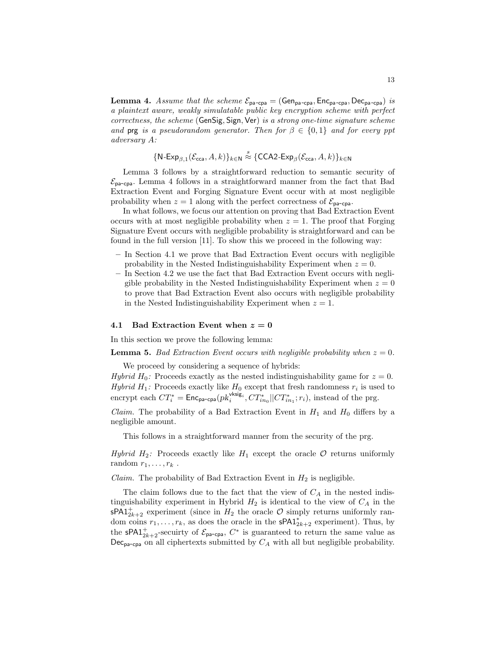**Lemma 4.** Assume that the scheme  $\mathcal{E}_{pa-cpa} = (Gen_{pa-cpa}, Enc_{pa-cpa}, Dec_{pa-cpa})$  is a plaintext aware, weakly simulatable public key encryption scheme with perfect correctness, the scheme (GenSig, Sign, Ver) is a strong one-time signature scheme and prg is a pseudorandom generator. Then for  $\beta \in \{0,1\}$  and for every ppt adversary A:

$$
\{\mathsf{N}\text{-}\mathsf{Exp}_{\beta,1}(\mathcal{E}_{\mathsf{cca}},A,k)\}_{k\in\mathsf{N}} \stackrel{s}{\approx} \{\mathsf{CCA2}\text{-}\mathsf{Exp}_{\beta}(\mathcal{E}_{\mathsf{cca}},A,k)\}_{k\in\mathsf{N}}
$$

Lemma 3 follows by a straightforward reduction to semantic security of  $\mathcal{E}_{\text{pa-cpa}}$ . Lemma 4 follows in a straightforward manner from the fact that Bad Extraction Event and Forging Signature Event occur with at most negligible probability when  $z = 1$  along with the perfect correctness of  $\mathcal{E}_{\text{pa-cpa}}$ .

In what follows, we focus our attention on proving that Bad Extraction Event occurs with at most negligible probability when  $z = 1$ . The proof that Forging Signature Event occurs with negligible probability is straightforward and can be found in the full version [11]. To show this we proceed in the following way:

- In Section 4.1 we prove that Bad Extraction Event occurs with negligible probability in the Nested Indistinguishability Experiment when  $z = 0$ .
- In Section 4.2 we use the fact that Bad Extraction Event occurs with negligible probability in the Nested Indistinguishability Experiment when  $z = 0$ to prove that Bad Extraction Event also occurs with negligible probability in the Nested Indistinguishability Experiment when  $z = 1$ .

#### 4.1 Bad Extraction Event when  $z = 0$

In this section we prove the following lemma:

**Lemma 5.** Bad Extraction Event occurs with negligible probability when  $z = 0$ .

We proceed by considering a sequence of hybrids:

Hybrid H<sub>0</sub>: Proceeds exactly as the nested indistinguishability game for  $z = 0$ . Hybrid  $H_1$ : Proceeds exactly like  $H_0$  except that fresh randomness  $r_i$  is used to encrypt each  $CT_i^* = \text{Enc}_{pa-cpa}(pk_i^{\text{vksig}_i}, CT_{in_0}^* || CT_{in_1}^*; r_i)$ , instead of the prg.

*Claim.* The probability of a Bad Extraction Event in  $H_1$  and  $H_0$  differs by a negligible amount.

This follows in a straightforward manner from the security of the prg.

Hybrid  $H_2$ : Proceeds exactly like  $H_1$  except the oracle  $\mathcal O$  returns uniformly random  $r_1, \ldots, r_k$ .

*Claim.* The probability of Bad Extraction Event in  $H_2$  is negligible.

The claim follows due to the fact that the view of  $C_A$  in the nested indistinguishability experiment in Hybrid  $H_2$  is identical to the view of  $C_A$  in the  $\mathsf{sPA1}_{2k+2}^+$  experiment (since in  $H_2$  the oracle  $\mathcal O$  simply returns uniformly random coins  $r_1, \ldots, r_k$ , as does the oracle in the **sPA1**<sup>\*</sup><sub>2k+2</sub> experiment). Thus, by the **sPA1**<sup>+</sup><sub>2k+2</sub>-secuirty of  $\mathcal{E}_{\text{pa-cpa}}$ ,  $C^*$  is guaranteed to return the same value as  $\textsf{Dec}_{\textsf{pa-cpa}}$  on all ciphertexts submitted by  $C_A$  with all but negligible probability.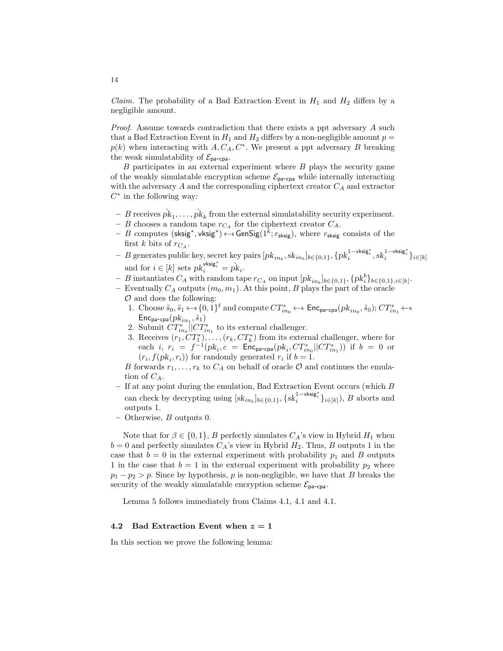*Claim.* The probability of a Bad Extraction Event in  $H_1$  and  $H_2$  differs by a negligible amount.

Proof. Assume towards contradiction that there exists a ppt adversary A such that a Bad Extraction Event in  $H_1$  and  $H_2$  differs by a non-negligible amount  $p =$  $p(k)$  when interacting with  $A, C_A, C^*$ . We present a ppt adversary B breaking the weak simulatability of  $\mathcal{E}_{\text{pa-cpa}}$ .

 $B$  participates in an external experiment where  $B$  plays the security game of the weakly simulatable encryption scheme  $\mathcal{E}_{\text{pa-cpa}}$  while internally interacting with the adversary  $A$  and the corresponding ciphertext creator  $C_A$  and extractor  $C^*$  in the following way:

- $-$  B receives  $\hat{pk}_1, \ldots, \hat{pk}_k$  from the external simulatability security experiment.
- B chooses a random tape  $r_{C_A}$  for the ciphertext creator  $C_A$ .
- $-$  B computes (sksig<sup>\*</sup>, vksig<sup>\*</sup>) ← GenSig( $1^{\overline{k}}$ ;  $r_{\text{sksig}}$ ), where  $r_{\text{sksig}}$  consists of the first k bits of  $r_{C_A}$ .
- $-|B|$  generates public key, secret key pairs  $[pk_{in_b}, sk_{in_b}]_{b \in \{0,1\}}, \{pk_i^{1-\text{visig}_i^*}, sk_i^{1-\text{visig}_i^*}\}_{i \in [k]}$ and for  $i \in [k]$  sets  $pk_i^{\text{vksig}_i^*} = \hat{pk}_i$ .
- $-$  B instantiates  $C_A$  with random tape  $r_{C_A}$  on input  $[pk_{in_b}]_{b \in \{0,1\},\{pk_i^b\}_{b \in \{0,1\},i \in [k]}}$ .
- Eventually  $C_A$  outputs  $(m_0, m_1)$ . At this point, B plays the part of the oracle  $\mathcal O$  and does the following:
	- 1. Choose  $\tilde{s}_0, \tilde{s}_1 \leftarrow \{0,1\}^{\ell}$  and compute  $CT^*_{in_0} \leftarrow \{0, \text{Enc}_{\text{pa-cpa}}(pk_{in_0}, \tilde{s}_0); CT^*_{in_1} \leftarrow \{0,1\}^{\ell}$  $\mathsf{Enc}_{\mathsf{pa}\text{-}\mathsf{cpa}}(pk_{in_1}, \tilde{s}_1)$
	- 2. Submit  $CT^*_{in_0}$  | $CT^*_{in_1}$  to its external challenger.
	- 3. Receives  $(r_1, CT_1^*)$ , ...,  $(r_k, CT_k^*)$  from its external challenger, where for each *i*,  $r_i = f^{-1}(pk_i, c = \text{Enc}_{pa-cpa}(pk_i, CT^*_{in_0}||CT^*_{in_1}))$  if  $b = 0$  or  $(r_i, f(pk_i, r_i))$  for randomly generated  $r_i$  if  $b = 1$ .

B forwards  $r_1, \ldots, r_k$  to  $C_A$  on behalf of oracle  $\mathcal O$  and continues the emulation of  $C_A$ .

- $-$  If at any point during the emulation, Bad Extraction Event occurs (which  $B$ can check by decrypting using  $[sk_{in_b}]_{b \in \{0,1\}}, \{sk_i^{1-\mathsf{vksig}_i^*}\}_{i \in [k]})$ , B aborts and outputs 1.
- $-$  Otherwise, B outputs 0.

Note that for  $\beta \in \{0,1\}$ , B perfectly simulates  $C_A$ 's view in Hybrid  $H_1$  when  $b = 0$  and perfectly simulates  $C_A$ 's view in Hybrid  $H_2$ . Thus, B outputs 1 in the case that  $b = 0$  in the external experiment with probability  $p_1$  and B outputs 1 in the case that  $b = 1$  in the external experiment with probability  $p_2$  where  $p_1 - p_2 > p$ . Since by hypothesis, p is non-negligible, we have that B breaks the security of the weakly simulatable encryption scheme  $\mathcal{E}_{\text{pa-cpa}}$ .

Lemma 5 follows immediately from Claims 4.1, 4.1 and 4.1.

#### 4.2 Bad Extraction Event when  $z = 1$

In this section we prove the following lemma: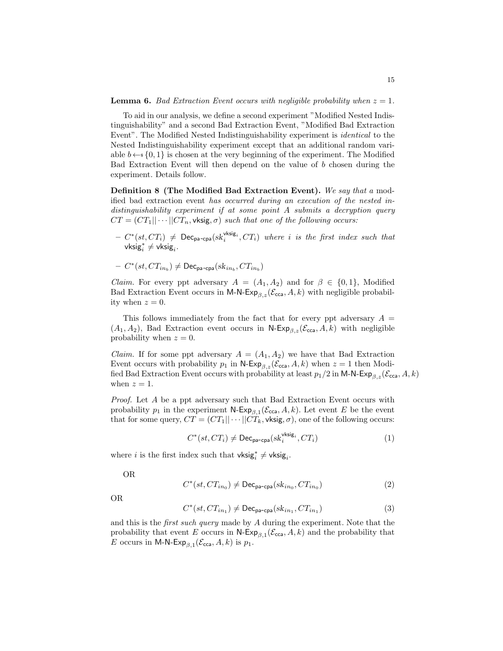To aid in our analysis, we define a second experiment "Modified Nested Indistinguishability" and a second Bad Extraction Event, "Modified Bad Extraction Event". The Modified Nested Indistinguishability experiment is identical to the Nested Indistinguishability experiment except that an additional random variable  $b \leftarrow s \{0, 1\}$  is chosen at the very beginning of the experiment. The Modified Bad Extraction Event will then depend on the value of b chosen during the experiment. Details follow.

Definition 8 (The Modified Bad Extraction Event). We say that a modified bad extraction event has occurred during an execution of the nested indistinguishability experiment if at some point A submits a decryption query  $CT = (CT_1 || \cdots || CT_n, \mathsf{vksig}, \sigma)$  such that one of the following occurs:

- $C^*(st, CT_i) \neq \text{Dec}_{pa-cpa}(sk_i^{vksig_i}, CT_i)$  where i is the first index such that vksi $\mathrm{g}_i^* \neq \mathsf{vksig}_i.$
- $C^*(st, CT_{in_b}) \neq \mathsf{Dec}_{\mathsf{pa-cpa}}(sk_{in_b}, CT_{in_b})$

*Claim.* For every ppt adversary  $A = (A_1, A_2)$  and for  $\beta \in \{0, 1\}$ , Modified Bad Extraction Event occurs in M-N-Exp<sub>β,z</sub>( $\mathcal{E}_{\text{cca}}, A, k$ ) with negligible probability when  $z = 0$ .

This follows immediately from the fact that for every ppt adversary  $A =$  $(A_1, A_2)$ , Bad Extraction event occurs in N-Exp<sub>β,z</sub>( $\mathcal{E}_{\text{cca}}, A, k$ ) with negligible probability when  $z = 0$ .

*Claim.* If for some ppt adversary  $A = (A_1, A_2)$  we have that Bad Extraction Event occurs with probability  $p_1$  in N-Exp<sub> $\beta, z$ </sub>( $\mathcal{E}_{\text{cca}}, A, k$ ) when  $z = 1$  then Modified Bad Extraction Event occurs with probability at least  $p_1/2$  in M-N-Exp<sub> $\beta, z$ </sub>( $\mathcal{E}_{\text{cca}}, A, k$ ) when  $z = 1$ .

Proof. Let A be a ppt adversary such that Bad Extraction Event occurs with probability  $p_1$  in the experiment  $\mathsf{N}\text{-}\mathsf{Exp}_{\beta,1}(\mathcal{E}_{\text{cca}}, A, k)$ . Let event E be the event that for some query,  $CT = (CT_1|| \cdots ||CT_k, \mathsf{vksig}, \sigma)$ , one of the following occurs:

$$
C^*(st, CT_i) \neq \text{Dec}_{\text{pa-cpa}}(sk_i^{\text{vksig}_i}, CT_i)
$$
\n
$$
(1)
$$

where *i* is the first index such that  $\mathsf{vksig}_i^* \neq \mathsf{vksig}_i$ .

OR

$$
C^*(st, CT_{in_0}) \neq \text{Dec}_{\text{pa-cpa}}(sk_{in_0}, CT_{in_0})
$$
\n
$$
(2)
$$

OR

$$
C^*(st, CT_{in_1}) \neq \text{Dec}_{\text{pa-cpa}}(sk_{in_1}, CT_{in_1})
$$
\n(3)

and this is the first such query made by A during the experiment. Note that the probability that event E occurs in  $\mathsf{N}\text{-}\mathsf{Exp}_{\beta,1}(\mathcal{E}_{\text{cca}}, A, k)$  and the probability that E occurs in M-N- $Exp_{\beta,1}(\mathcal{E}_{cca}, A, k)$  is  $p_1$ .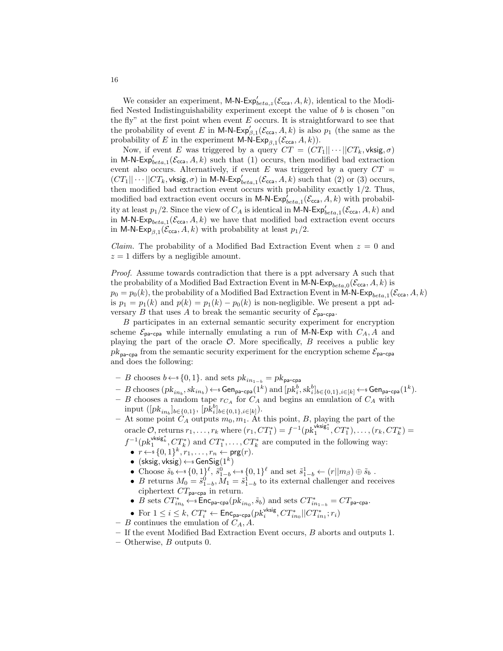We consider an experiment, M-N- $Exp'_{beta,z}(\mathcal{E}_{cca}, A, k)$ , identical to the Modified Nested Indistinguishability experiment except the value of b is chosen "on the fly" at the first point when event  $E$  occurs. It is straightforward to see that the probability of event E in M-N-Exp<sub> $\beta,1$ </sub> $(\mathcal{E}_{\text{cca}}, A, k)$  is also  $p_1$  (the same as the probability of E in the experiment M-N-Exp<sub>β,1</sub>( $\mathcal{E}_{\text{cca}}, A, k$ )).

Now, if event E was triggered by a query  $CT = (CT_1 || \cdots || CT_k, \mathsf{vksig}, \sigma)$ in M-N-Exp<sub>leta,1</sub> ( $\mathcal{E}_{\text{cca}}, A, k$ ) such that (1) occurs, then modified bad extraction event also occurs. Alternatively, if event E was triggered by a query  $CT =$  $(CT_1||\cdots||CT_k, \text{vksig}, \sigma)$  in M-N-Exp $'_{beta,1}(\mathcal{E}_{cca}, A, k)$  such that (2) or (3) occurs, then modified bad extraction event occurs with probability exactly 1/2. Thus, modified bad extraction event occurs in M-N- $Exp_{beta,1}^{'}(\mathcal{E}_{cca}, A, k)$  with probability at least  $p_1/2$ . Since the view of  $C_A$  is identical in M-N-Exp<sub>beta,1</sub> ( $\mathcal{E}_{\text{cca}}, A, k$ ) and in M-N-Exp<sub>beta,1</sub> ( $\mathcal{E}_{\text{cca}}, A, k$ ) we have that modified bad extraction event occurs in M-N-Exp<sub>β,1</sub>( $\mathcal{E}_{\text{cca}}, A, k$ ) with probability at least  $p_1/2$ .

*Claim.* The probability of a Modified Bad Extraction Event when  $z = 0$  and  $z = 1$  differs by a negligible amount.

Proof. Assume towards contradiction that there is a ppt adversary A such that the probability of a Modified Bad Extraction Event in M-N- $\mathsf{Exp}_{beta,0}(\mathcal{E}_{\mathsf{cca}}, A, k)$  is  $p_0 = p_0(k)$ , the probability of a Modified Bad Extraction Event in M-N-Exp<sub>beta,1</sub> ( $\mathcal{E}_{\text{cca}}, A, k$ ) is  $p_1 = p_1(k)$  and  $p(k) = p_1(k) - p_0(k)$  is non-negligible. We present a ppt adversary B that uses A to break the semantic security of  $\mathcal{E}_{\text{pa-cpa}}$ .

B participates in an external semantic security experiment for encryption scheme  $\mathcal{E}_{\text{pa-cpa}}$  while internally emulating a run of M-N-Exp with  $C_A$ , A and playing the part of the oracle  $\mathcal{O}$ . More specifically,  $B$  receives a public key  $pk_{pa-cpa}$  from the semantic security experiment for the encryption scheme  $\mathcal{E}_{pa-cpa}$ and does the following:

- B chooses  $b \leftarrow s \{0, 1\}$ . and sets  $pk_{in_{1-b}} = pk_{pa-cpa}$
- $-$  B chooses  $(pk_{in_b}, sk_{in_b}) \leftarrow \text{{Gen}_{\text{pa-cpa}}}(1^k)$  and  $[pk_i^b, sk_i^b]_{b \in \{0,1\}, i \in [k]} \leftarrow \text{Gen}_{\text{pa-cpa}}(1^k)$ .
- B chooses a random tape  $r_{C_A}$  for  $C_A$  and begins an emulation of  $C_A$  with input  $([pk_{in_b}]_{b \in \{0,1\}}, [pk_i^b]_{b \in \{0,1\}, i \in [k]})$ .
- At some point  $C_A$  outputs  $m_0, m_1$ . At this point, B, playing the part of the oracle  $\mathcal{O}$ , returns  $r_1, \ldots, r_k$  where  $(r_1, CT_1^*) = f^{-1}(pk_1^{\text{visig}_1^*}, CT_1^*), \ldots, (r_k, CT_k^*) =$ 
	- $f^{-1}(pk_1^{\text{visig}_k}, CT_k^*)$  and  $CT_1^*, \ldots, CT_k^*$  are computed in the following way:
	- $r \leftarrow \{0, 1\}^k, r_1, \ldots, r_n \leftarrow \text{prg}(r)$ .
	- $\bullet$  (sksig, vksig)  $\leftarrow$  s GenSig $(1^k)$
	- Choose  $\tilde{s}_b \leftarrow s \{0,1\}^{\ell}, \tilde{s}_{1-b}^0 \leftarrow s \{0,1\}^{\ell}$  and set  $\tilde{s}_{1-b}^1 \leftarrow (r||m_\beta) \oplus \tilde{s}_b$ .
	- B returns  $M_0 = \tilde{s}_{1-b}^0, M_1 = \tilde{s}_{1-b}^1$  to its external challenger and receives ciphertext  $CT_{pa-cpa}$  in return.
	- B sets  $CT_{in_b}^* \leftarrow \texttt{Enc}_{\texttt{pa-cpa}}(pk_{in_0}, \tilde{s}_b)$  and sets  $CT_{in_{1-b}}^* = CT_{\texttt{pa-cpa}}$ .
	- For  $1 \leq i \leq k$ ,  $CT^*_i \leftarrow \mathsf{Enc}_{\mathsf{pa}\text{-}\mathsf{cpa}}(pk^{\mathsf{vksig}}_i, CT^*_{in_0}||CT^*_{in_1};r_i)$
- B continues the emulation of  $C_A$ , A.
- If the event Modified Bad Extraction Event occurs, B aborts and outputs 1.
- $-$  Otherwise,  $B$  outputs 0.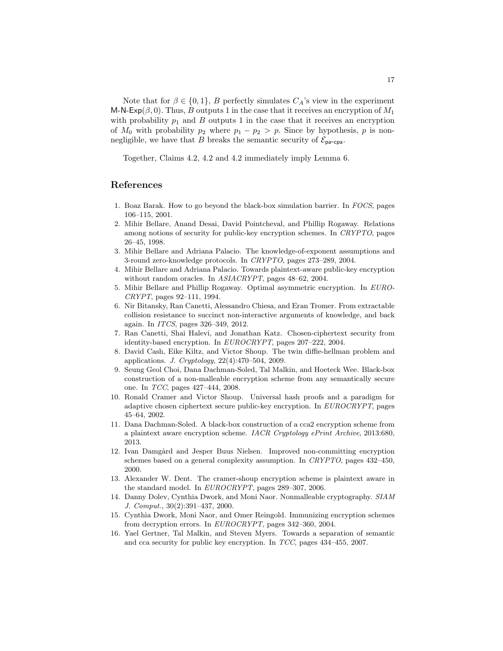Note that for  $\beta \in \{0,1\}$ , B perfectly simulates  $C_A$ 's view in the experiment M-N-Exp( $\beta$ , 0). Thus, B outputs 1 in the case that it receives an encryption of  $M_1$ with probability  $p_1$  and  $B$  outputs 1 in the case that it receives an encryption of  $M_0$  with probability  $p_2$  where  $p_1 - p_2 > p$ . Since by hypothesis, p is nonnegligible, we have that B breaks the semantic security of  $\mathcal{E}_{\text{pa-cpa}}$ .

Together, Claims 4.2, 4.2 and 4.2 immediately imply Lemma 6.

# References

- 1. Boaz Barak. How to go beyond the black-box simulation barrier. In FOCS, pages 106–115, 2001.
- 2. Mihir Bellare, Anand Desai, David Pointcheval, and Phillip Rogaway. Relations among notions of security for public-key encryption schemes. In CRYPTO, pages 26–45, 1998.
- 3. Mihir Bellare and Adriana Palacio. The knowledge-of-exponent assumptions and 3-round zero-knowledge protocols. In CRYPTO, pages 273–289, 2004.
- 4. Mihir Bellare and Adriana Palacio. Towards plaintext-aware public-key encryption without random oracles. In *ASIACRYPT*, pages 48-62, 2004.
- 5. Mihir Bellare and Phillip Rogaway. Optimal asymmetric encryption. In EURO-CRYPT, pages 92–111, 1994.
- 6. Nir Bitansky, Ran Canetti, Alessandro Chiesa, and Eran Tromer. From extractable collision resistance to succinct non-interactive arguments of knowledge, and back again. In ITCS, pages 326–349, 2012.
- 7. Ran Canetti, Shai Halevi, and Jonathan Katz. Chosen-ciphertext security from identity-based encryption. In EUROCRYPT, pages 207–222, 2004.
- 8. David Cash, Eike Kiltz, and Victor Shoup. The twin diffie-hellman problem and applications. J. Cryptology, 22(4):470–504, 2009.
- 9. Seung Geol Choi, Dana Dachman-Soled, Tal Malkin, and Hoeteck Wee. Black-box construction of a non-malleable encryption scheme from any semantically secure one. In TCC, pages 427–444, 2008.
- 10. Ronald Cramer and Victor Shoup. Universal hash proofs and a paradigm for adaptive chosen ciphertext secure public-key encryption. In EUROCRYPT, pages 45–64, 2002.
- 11. Dana Dachman-Soled. A black-box construction of a cca2 encryption scheme from a plaintext aware encryption scheme. IACR Cryptology ePrint Archive, 2013:680, 2013.
- 12. Ivan Damgård and Jesper Buus Nielsen. Improved non-committing encryption schemes based on a general complexity assumption. In CRYPTO, pages 432–450, 2000.
- 13. Alexander W. Dent. The cramer-shoup encryption scheme is plaintext aware in the standard model. In EUROCRYPT, pages 289–307, 2006.
- 14. Danny Dolev, Cynthia Dwork, and Moni Naor. Nonmalleable cryptography. SIAM J. Comput., 30(2):391–437, 2000.
- 15. Cynthia Dwork, Moni Naor, and Omer Reingold. Immunizing encryption schemes from decryption errors. In EUROCRYPT, pages 342–360, 2004.
- 16. Yael Gertner, Tal Malkin, and Steven Myers. Towards a separation of semantic and cca security for public key encryption. In TCC, pages 434–455, 2007.